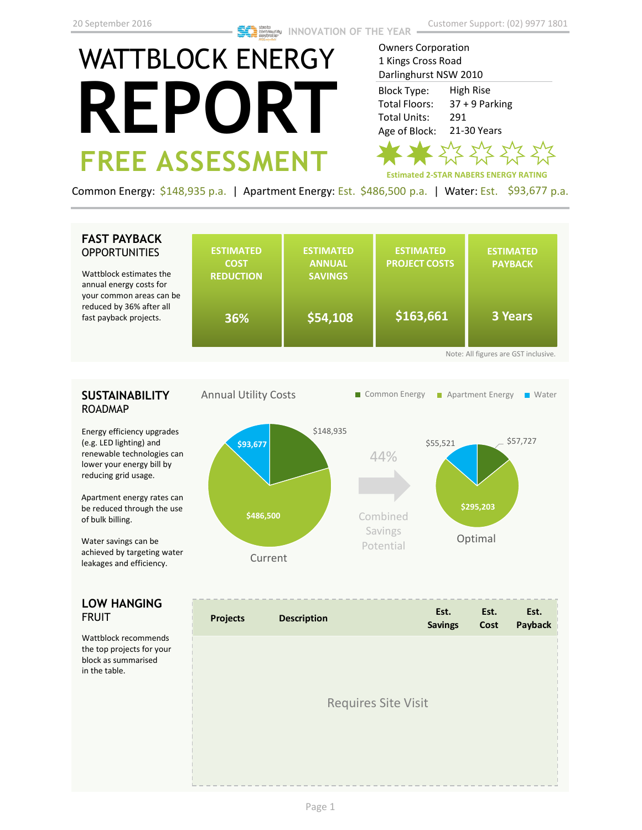# WATTBLOCK ENERGY **REPORT FREE ASSESSMENT**

Owners Corporation 1 Kings Cross Road Darlinghurst NSW 2010 Block Type: High Rise Total Floors: 37 + 9 Parking Total Units: 291 Age of Block: 21-30 Years M H

**Estimated 2-STAR NABERS ENERGY RATING**

Common Energy: \$148,935 p.a. | Apartment Energy: Est. \$486,500 p.a. | Water: Est. \$93,677 p.a.

### **FAST PAYBACK OPPORTUNITIES**

| <b>FAST PAYBACK</b><br><b>OPPORTUNITIES</b><br>Wattblock estimates the<br>annual energy costs for<br>your common areas can be | <b>ESTIMATED</b><br><b>COST</b><br><b>REDUCTION</b> | <b>ESTIMATED</b><br><b>ANNUAL</b><br><b>SAVINGS</b> | <b>ESTIMATED</b><br><b>PROJECT COSTS</b> | <b>ESTIMATED</b><br><b>PAYBACK</b>                     |
|-------------------------------------------------------------------------------------------------------------------------------|-----------------------------------------------------|-----------------------------------------------------|------------------------------------------|--------------------------------------------------------|
| reduced by 36% after all<br>fast payback projects.                                                                            | 36%                                                 | \$54,108                                            | \$163,661                                | <b>3 Years</b><br>Note: All figures are GST inclusive. |

## **SUSTAINABILITY** ROADMAP

Energy efficiency upgrades (e.g. LED lighting) and renewable technologies can lower your energy bill by reducing grid usage.

Apartment energy rates can be reduced through the use of bulk billing.

Water savings can be achieved by targeting water leakages and efficiency.

### **LOW HANGING**  FRUIT

Wattblock recommends the top projects for your block as summarised in the table.



| <b>Projects</b> | <b>Description</b>         | Est.<br><b>Savings</b> | Est.<br>Cost | Est.<br>Payback |
|-----------------|----------------------------|------------------------|--------------|-----------------|
|                 |                            |                        |              |                 |
|                 | <b>Requires Site Visit</b> |                        |              |                 |
|                 |                            |                        |              |                 |